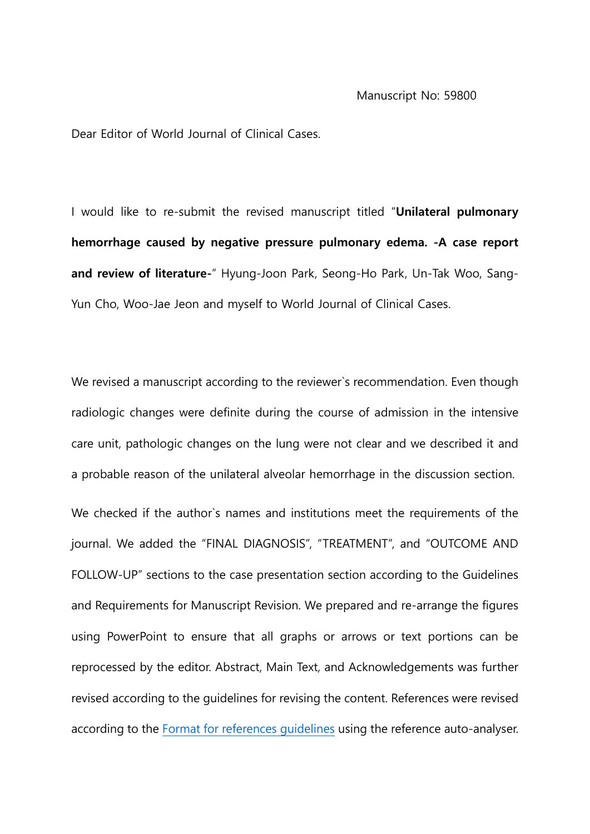Dear Editor of World Journal of Clinical Cases.

I would like to re-submit the revised manuscript titled "**Unilateral pulmonary hemorrhage caused by negative pressure pulmonary edema. -A case report and review of literature-**" Hyung-Joon Park, Seong-Ho Park, Un-Tak Woo, Sang-Yun Cho, Woo-Jae Jeon and myself to World Journal of Clinical Cases.

We revised a manuscript according to the reviewer`s recommendation. Even though radiologic changes were definite during the course of admission in the intensive care unit, pathologic changes on the lung were not clear and we described it and a probable reason of the unilateral alveolar hemorrhage in the discussion section.

We checked if the author`s names and institutions meet the requirements of the journal. We added the "FINAL DIAGNOSIS", "TREATMENT", and "OUTCOME AND FOLLOW-UP" sections to the case presentation section according to the Guidelines and Requirements for Manuscript Revision. We prepared and re-arrange the figures using PowerPoint to ensure that all graphs or arrows or text portions can be reprocessed by the editor. Abstract, Main Text, and Acknowledgements was further revised according to the guidelines for revising the content. References were revised according to the [Format for references guidelines](https://www.google.com/url?q=https://f6publishing.blob.core.windows.net/customuploadedfiles/Format_for_references_guidelines.pdf&source=gmail-imap&ust=1606966393000000&usg=AOvVaw2YYxAgEXaCcIoDT7XOkuau) using the reference auto-analyser.